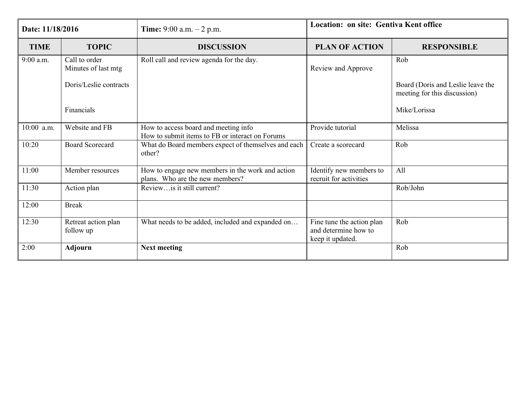| Date: 11/18/2016 |                                      | Time: $9:00$ a.m. $-2$ p.m.                                                             | Location: on site: Gentiva Kent office                                |                                                                   |  |
|------------------|--------------------------------------|-----------------------------------------------------------------------------------------|-----------------------------------------------------------------------|-------------------------------------------------------------------|--|
| <b>TIME</b>      | <b>TOPIC</b>                         | <b>DISCUSSION</b>                                                                       | <b>PLAN OF ACTION</b>                                                 | <b>RESPONSIBLE</b>                                                |  |
| 9:00 a.m.        | Call to order<br>Minutes of last mtg | Roll call and review agenda for the day.                                                | Review and Approve                                                    | Rob                                                               |  |
|                  | Doris/Leslie contracts               |                                                                                         |                                                                       | Board (Doris and Leslie leave the<br>meeting for this discussion) |  |
|                  | Financials                           |                                                                                         |                                                                       | Mike/Lorissa                                                      |  |
| 10:00 a.m.       | Website and FB                       | How to access board and meeting info<br>How to submit items to FB or interact on Forums | Provide tutorial                                                      | Melissa                                                           |  |
| 10:20            | <b>Board Scorecard</b>               | What do Board members expect of themselves and each<br>other?                           | Create a scorecard                                                    | Rob                                                               |  |
| 11:00            | Member resources                     | How to engage new members in the work and action<br>plans. Who are the new members?     | Identify new members to<br>recruit for activities                     | All                                                               |  |
| 11:30            | Action plan                          | Reviewis it still current?                                                              |                                                                       | Rob/John                                                          |  |
| 12:00            | <b>Break</b>                         |                                                                                         |                                                                       |                                                                   |  |
| 12:30            | Retreat action plan<br>follow up     | What needs to be added, included and expanded on                                        | Fine tune the action plan<br>and determine how to<br>keep it updated. | Rob                                                               |  |
| 2:00             | <b>Adjourn</b>                       | <b>Next meeting</b>                                                                     |                                                                       | Rob                                                               |  |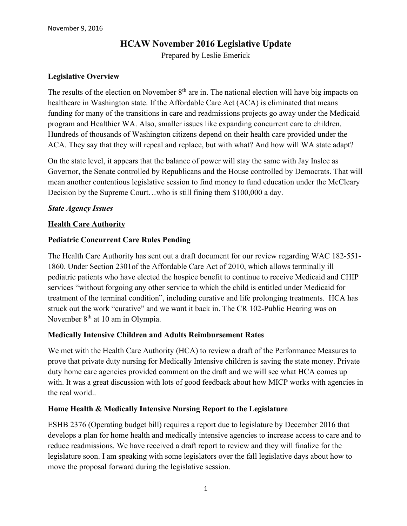#### **HCAW November 2016 Legislative Update**

Prepared by Leslie Emerick

#### **Legislative Overview**

The results of the election on November  $8<sup>th</sup>$  are in. The national election will have big impacts on healthcare in Washington state. If the Affordable Care Act (ACA) is eliminated that means funding for many of the transitions in care and readmissions projects go away under the Medicaid program and Healthier WA. Also, smaller issues like expanding concurrent care to children. Hundreds of thousands of Washington citizens depend on their health care provided under the ACA. They say that they will repeal and replace, but with what? And how will WA state adapt?

On the state level, it appears that the balance of power will stay the same with Jay Inslee as Governor, the Senate controlled by Republicans and the House controlled by Democrats. That will mean another contentious legislative session to find money to fund education under the McCleary Decision by the Supreme Court…who is still fining them \$100,000 a day.

#### *State Agency Issues*

#### **Health Care Authority**

#### **Pediatric Concurrent Care Rules Pending**

The Health Care Authority has sent out a draft document for our review regarding WAC 182-551- 1860. Under Section 2301of the Affordable Care Act of 2010, which allows terminally ill pediatric patients who have elected the hospice benefit to continue to receive Medicaid and CHIP services "without forgoing any other service to which the child is entitled under Medicaid for treatment of the terminal condition", including curative and life prolonging treatments. HCA has struck out the work "curative" and we want it back in. The CR 102-Public Hearing was on November 8<sup>th</sup> at 10 am in Olympia.

#### **Medically Intensive Children and Adults Reimbursement Rates**

We met with the Health Care Authority (HCA) to review a draft of the Performance Measures to prove that private duty nursing for Medically Intensive children is saving the state money. Private duty home care agencies provided comment on the draft and we will see what HCA comes up with. It was a great discussion with lots of good feedback about how MICP works with agencies in the real world..

#### **Home Health & Medically Intensive Nursing Report to the Legislature**

ESHB 2376 (Operating budget bill) requires a report due to legislature by December 2016 that develops a plan for home health and medically intensive agencies to increase access to care and to reduce readmissions. We have received a draft report to review and they will finalize for the legislature soon. I am speaking with some legislators over the fall legislative days about how to move the proposal forward during the legislative session.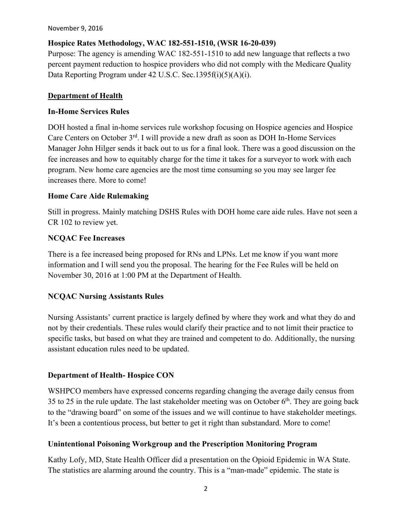November 9, 2016

#### **Hospice Rates Methodology, WAC 182-551-1510, (WSR 16-20-039)**

Purpose: The agency is amending WAC 182-551-1510 to add new language that reflects a two percent payment reduction to hospice providers who did not comply with the Medicare Quality Data Reporting Program under 42 U.S.C. Sec.1395f(i)(5)(A)(i).

#### **Department of Health**

#### **In-Home Services Rules**

DOH hosted a final in-home services rule workshop focusing on Hospice agencies and Hospice Care Centers on October 3<sup>rd</sup>. I will provide a new draft as soon as DOH In-Home Services Manager John Hilger sends it back out to us for a final look. There was a good discussion on the fee increases and how to equitably charge for the time it takes for a surveyor to work with each program. New home care agencies are the most time consuming so you may see larger fee increases there. More to come!

#### **Home Care Aide Rulemaking**

Still in progress. Mainly matching DSHS Rules with DOH home care aide rules. Have not seen a CR 102 to review yet.

#### **NCQAC Fee Increases**

There is a fee increased being proposed for RNs and LPNs. Let me know if you want more information and I will send you the proposal. The hearing for the Fee Rules will be held on November 30, 2016 at 1:00 PM at the Department of Health.

#### **NCQAC Nursing Assistants Rules**

Nursing Assistants' current practice is largely defined by where they work and what they do and not by their credentials. These rules would clarify their practice and to not limit their practice to specific tasks, but based on what they are trained and competent to do. Additionally, the nursing assistant education rules need to be updated.

#### **Department of Health- Hospice CON**

WSHPCO members have expressed concerns regarding changing the average daily census from 35 to 25 in the rule update. The last stakeholder meeting was on October  $6<sup>th</sup>$ . They are going back to the "drawing board" on some of the issues and we will continue to have stakeholder meetings. It's been a contentious process, but better to get it right than substandard. More to come!

#### **Unintentional Poisoning Workgroup and the Prescription Monitoring Program**

Kathy Lofy, MD, State Health Officer did a presentation on the Opioid Epidemic in WA State. The statistics are alarming around the country. This is a "man-made" epidemic. The state is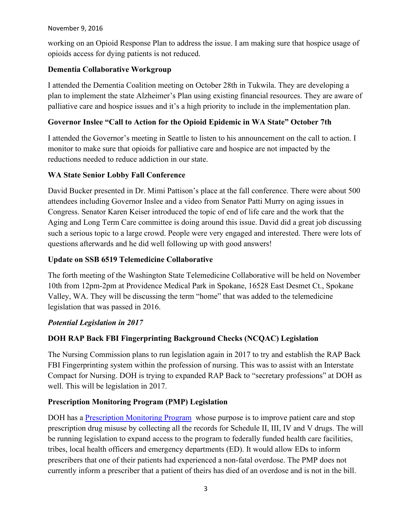#### November 9, 2016

working on an Opioid Response Plan to address the issue. I am making sure that hospice usage of opioids access for dying patients is not reduced.

#### **Dementia Collaborative Workgroup**

I attended the Dementia Coalition meeting on October 28th in Tukwila. They are developing a plan to implement the state Alzheimer's Plan using existing financial resources. They are aware of palliative care and hospice issues and it's a high priority to include in the implementation plan.

#### **Governor Inslee "Call to Action for the Opioid Epidemic in WA State" October 7th**

I attended the Governor's meeting in Seattle to listen to his announcement on the call to action. I monitor to make sure that opioids for palliative care and hospice are not impacted by the reductions needed to reduce addiction in our state.

#### **WA State Senior Lobby Fall Conference**

David Bucker presented in Dr. Mimi Pattison's place at the fall conference. There were about 500 attendees including Governor Inslee and a video from Senator Patti Murry on aging issues in Congress. Senator Karen Keiser introduced the topic of end of life care and the work that the Aging and Long Term Care committee is doing around this issue. David did a great job discussing such a serious topic to a large crowd. People were very engaged and interested. There were lots of questions afterwards and he did well following up with good answers!

#### **Update on SSB 6519 Telemedicine Collaborative**

The forth meeting of the Washington State Telemedicine Collaborative will be held on November 10th from 12pm-2pm at Providence Medical Park in Spokane, 16528 East Desmet Ct., Spokane Valley, WA. They will be discussing the term "home" that was added to the telemedicine legislation that was passed in 2016.

#### *Potential Legislation in 2017*

#### **DOH RAP Back FBI Fingerprinting Background Checks (NCQAC) Legislation**

The Nursing Commission plans to run legislation again in 2017 to try and establish the RAP Back FBI Fingerprinting system within the profession of nursing. This was to assist with an Interstate Compact for Nursing. DOH is trying to expanded RAP Back to "secretary professions" at DOH as well. This will be legislation in 2017.

#### **Prescription Monitoring Program (PMP) Legislation**

DOH has a [Prescription Monitoring Program](http://www.doh.wa.gov/ForPublicHealthandHealthcareProviders/HealthcareProfessionsandFacilities/PrescriptionMonitoringProgramPMP) whose purpose is to improve patient care and stop prescription drug misuse by collecting all the records for Schedule II, III, IV and V drugs. The will be running legislation to expand access to the program to federally funded health care facilities, tribes, local health officers and emergency departments (ED). It would allow EDs to inform prescribers that one of their patients had experienced a non-fatal overdose. The PMP does not currently inform a prescriber that a patient of theirs has died of an overdose and is not in the bill.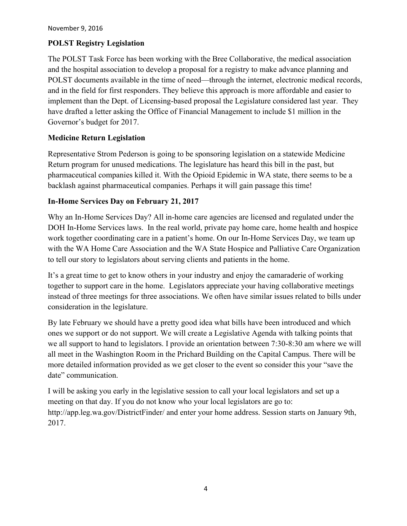#### **POLST Registry Legislation**

The POLST Task Force has been working with the Bree Collaborative, the medical association and the hospital association to develop a proposal for a registry to make advance planning and POLST documents available in the time of need—through the internet, electronic medical records, and in the field for first responders. They believe this approach is more affordable and easier to implement than the Dept. of Licensing-based proposal the Legislature considered last year. They have drafted a letter asking the Office of Financial Management to include \$1 million in the Governor's budget for 2017.

#### **Medicine Return Legislation**

Representative Strom Pederson is going to be sponsoring legislation on a statewide Medicine Return program for unused medications. The legislature has heard this bill in the past, but pharmaceutical companies killed it. With the Opioid Epidemic in WA state, there seems to be a backlash against pharmaceutical companies. Perhaps it will gain passage this time!

#### **In-Home Services Day on February 21, 2017**

Why an In-Home Services Day? All in-home care agencies are licensed and regulated under the DOH In-Home Services laws. In the real world, private pay home care, home health and hospice work together coordinating care in a patient's home. On our In-Home Services Day, we team up with the WA Home Care Association and the WA State Hospice and Palliative Care Organization to tell our story to legislators about serving clients and patients in the home.

It's a great time to get to know others in your industry and enjoy the camaraderie of working together to support care in the home. Legislators appreciate your having collaborative meetings instead of three meetings for three associations. We often have similar issues related to bills under consideration in the legislature.

By late February we should have a pretty good idea what bills have been introduced and which ones we support or do not support. We will create a Legislative Agenda with talking points that we all support to hand to legislators. I provide an orientation between 7:30-8:30 am where we will all meet in the Washington Room in the Prichard Building on the Capital Campus. There will be more detailed information provided as we get closer to the event so consider this your "save the date" communication.

I will be asking you early in the legislative session to call your local legislators and set up a meeting on that day. If you do not know who your local legislators are go to: http://app.leg.wa.gov/DistrictFinder/ and enter your home address. Session starts on January 9th, 2017.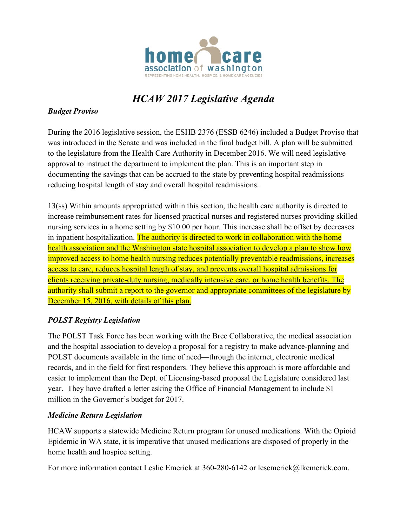

## *HCAW 2017 Legislative Agenda*

#### *Budget Proviso*

During the 2016 legislative session, the ESHB 2376 (ESSB 6246) included a Budget Proviso that was introduced in the Senate and was included in the final budget bill. A plan will be submitted to the legislature from the Health Care Authority in December 2016. We will need legislative approval to instruct the department to implement the plan. This is an important step in documenting the savings that can be accrued to the state by preventing hospital readmissions reducing hospital length of stay and overall hospital readmissions.

13(ss) Within amounts appropriated within this section, the health care authority is directed to increase reimbursement rates for licensed practical nurses and registered nurses providing skilled nursing services in a home setting by \$10.00 per hour. This increase shall be offset by decreases in inpatient hospitalization. The authority is directed to work in collaboration with the home health association and the Washington state hospital association to develop a plan to show how improved access to home health nursing reduces potentially preventable readmissions, increases access to care, reduces hospital length of stay, and prevents overall hospital admissions for clients receiving private-duty nursing, medically intensive care, or home health benefits. The authority shall submit a report to the governor and appropriate committees of the legislature by December 15, 2016, with details of this plan.

#### *POLST Registry Legislation*

The POLST Task Force has been working with the Bree Collaborative, the medical association and the hospital association to develop a proposal for a registry to make advance-planning and POLST documents available in the time of need—through the internet, electronic medical records, and in the field for first responders. They believe this approach is more affordable and easier to implement than the Dept. of Licensing-based proposal the Legislature considered last year. They have drafted a letter asking the Office of Financial Management to include \$1 million in the Governor's budget for 2017.

#### *Medicine Return Legislation*

HCAW supports a statewide Medicine Return program for unused medications. With the Opioid Epidemic in WA state, it is imperative that unused medications are disposed of properly in the home health and hospice setting.

For more information contact Leslie Emerick at 360-280-6142 or lesemerick@lkemerick.com.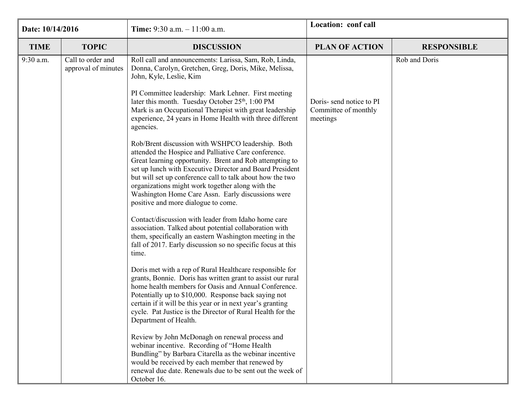| Date: 10/14/2016 |                                          | <b>Time:</b> 9:30 a.m. $-11:00$ a.m.                                                                                                                                                                                                                                                                                                                                                                                                          | Location: conf call |                    |
|------------------|------------------------------------------|-----------------------------------------------------------------------------------------------------------------------------------------------------------------------------------------------------------------------------------------------------------------------------------------------------------------------------------------------------------------------------------------------------------------------------------------------|---------------------|--------------------|
| <b>TIME</b>      | <b>TOPIC</b>                             | <b>DISCUSSION</b><br><b>PLAN OF ACTION</b>                                                                                                                                                                                                                                                                                                                                                                                                    |                     | <b>RESPONSIBLE</b> |
| 9:30 a.m.        | Call to order and<br>approval of minutes | Roll call and announcements: Larissa, Sam, Rob, Linda,<br>Donna, Carolyn, Gretchen, Greg, Doris, Mike, Melissa,<br>John, Kyle, Leslie, Kim<br>PI Committee leadership: Mark Lehner. First meeting                                                                                                                                                                                                                                             |                     | Rob and Doris      |
|                  |                                          | later this month. Tuesday October 25 <sup>th</sup> , 1:00 PM<br>Doris-send notice to PI<br>Mark is an Occupational Therapist with great leadership<br>Committee of monthly<br>experience, 24 years in Home Health with three different<br>meetings<br>agencies.                                                                                                                                                                               |                     |                    |
|                  |                                          | Rob/Brent discussion with WSHPCO leadership. Both<br>attended the Hospice and Palliative Care conference.<br>Great learning opportunity. Brent and Rob attempting to<br>set up lunch with Executive Director and Board President<br>but will set up conference call to talk about how the two<br>organizations might work together along with the<br>Washington Home Care Assn. Early discussions were<br>positive and more dialogue to come. |                     |                    |
|                  |                                          | Contact/discussion with leader from Idaho home care<br>association. Talked about potential collaboration with<br>them, specifically an eastern Washington meeting in the<br>fall of 2017. Early discussion so no specific focus at this<br>time.                                                                                                                                                                                              |                     |                    |
|                  |                                          | Doris met with a rep of Rural Healthcare responsible for<br>grants, Bonnie. Doris has written grant to assist our rural<br>home health members for Oasis and Annual Conference.<br>Potentially up to \$10,000. Response back saying not<br>certain if it will be this year or in next year's granting<br>cycle. Pat Justice is the Director of Rural Health for the<br>Department of Health.                                                  |                     |                    |
|                  |                                          | Review by John McDonagh on renewal process and<br>webinar incentive. Recording of "Home Health<br>Bundling" by Barbara Citarella as the webinar incentive<br>would be received by each member that renewed by<br>renewal due date. Renewals due to be sent out the week of<br>October 16.                                                                                                                                                     |                     |                    |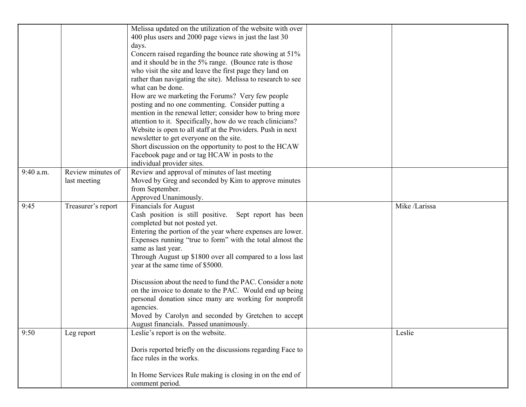|           |                    | Melissa updated on the utilization of the website with over<br>400 plus users and 2000 page views in just the last 30 |               |
|-----------|--------------------|-----------------------------------------------------------------------------------------------------------------------|---------------|
|           |                    | days.                                                                                                                 |               |
|           |                    | Concern raised regarding the bounce rate showing at 51%                                                               |               |
|           |                    | and it should be in the 5% range. (Bounce rate is those                                                               |               |
|           |                    | who visit the site and leave the first page they land on                                                              |               |
|           |                    | rather than navigating the site). Melissa to research to see                                                          |               |
|           |                    | what can be done.                                                                                                     |               |
|           |                    | How are we marketing the Forums? Very few people<br>posting and no one commenting. Consider putting a                 |               |
|           |                    | mention in the renewal letter; consider how to bring more                                                             |               |
|           |                    | attention to it. Specifically, how do we reach clinicians?                                                            |               |
|           |                    | Website is open to all staff at the Providers. Push in next                                                           |               |
|           |                    | newsletter to get everyone on the site.                                                                               |               |
|           |                    | Short discussion on the opportunity to post to the HCAW                                                               |               |
|           |                    | Facebook page and or tag HCAW in posts to the                                                                         |               |
|           |                    | individual provider sites.                                                                                            |               |
| 9:40 a.m. | Review minutes of  | Review and approval of minutes of last meeting                                                                        |               |
|           | last meeting       | Moved by Greg and seconded by Kim to approve minutes                                                                  |               |
|           |                    | from September.                                                                                                       |               |
| 9:45      |                    | Approved Unanimously.                                                                                                 | Mike /Larissa |
|           | Treasurer's report | <b>Financials for August</b><br>Cash position is still positive. Sept report has been                                 |               |
|           |                    | completed but not posted yet.                                                                                         |               |
|           |                    | Entering the portion of the year where expenses are lower.                                                            |               |
|           |                    | Expenses running "true to form" with the total almost the                                                             |               |
|           |                    | same as last year.                                                                                                    |               |
|           |                    | Through August up \$1800 over all compared to a loss last                                                             |               |
|           |                    | year at the same time of \$5000.                                                                                      |               |
|           |                    | Discussion about the need to fund the PAC. Consider a note                                                            |               |
|           |                    | on the invoice to donate to the PAC. Would end up being                                                               |               |
|           |                    | personal donation since many are working for nonprofit                                                                |               |
|           |                    | agencies.                                                                                                             |               |
|           |                    | Moved by Carolyn and seconded by Gretchen to accept                                                                   |               |
|           |                    | August financials. Passed unanimously.                                                                                |               |
| 9:50      | Leg report         | Leslie's report is on the website.                                                                                    | Leslie        |
|           |                    | Doris reported briefly on the discussions regarding Face to                                                           |               |
|           |                    | face rules in the works.                                                                                              |               |
|           |                    | In Home Services Rule making is closing in on the end of                                                              |               |
|           |                    | comment period.                                                                                                       |               |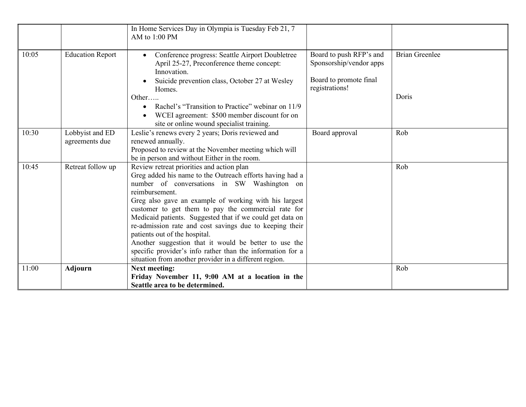|       |                                   | In Home Services Day in Olympia is Tuesday Feb 21, 7<br>AM to 1:00 PM                                                                                                                                                                                                                                                                                                                                                                                                                                                                                                                                                            |                                                                                                |                                |
|-------|-----------------------------------|----------------------------------------------------------------------------------------------------------------------------------------------------------------------------------------------------------------------------------------------------------------------------------------------------------------------------------------------------------------------------------------------------------------------------------------------------------------------------------------------------------------------------------------------------------------------------------------------------------------------------------|------------------------------------------------------------------------------------------------|--------------------------------|
| 10:05 | <b>Education Report</b>           | Conference progress: Seattle Airport Doubletree<br>April 25-27, Preconference theme concept:<br>Innovation.<br>Suicide prevention class, October 27 at Wesley<br>Homes.<br>Other<br>Rachel's "Transition to Practice" webinar on 11/9<br>$\bullet$<br>WCEI agreement: \$500 member discount for on<br>site or online wound specialist training.                                                                                                                                                                                                                                                                                  | Board to push RFP's and<br>Sponsorship/vendor apps<br>Board to promote final<br>registrations! | <b>Brian Greenlee</b><br>Doris |
| 10:30 | Lobbyist and ED<br>agreements due | Leslie's renews every 2 years; Doris reviewed and<br>renewed annually.<br>Proposed to review at the November meeting which will<br>be in person and without Either in the room.                                                                                                                                                                                                                                                                                                                                                                                                                                                  | Board approval                                                                                 | Rob                            |
| 10:45 | Retreat follow up                 | Review retreat priorities and action plan<br>Greg added his name to the Outreach efforts having had a<br>number of conversations in SW Washington on<br>reimbursement.<br>Greg also gave an example of working with his largest<br>customer to get them to pay the commercial rate for<br>Medicaid patients. Suggested that if we could get data on<br>re-admission rate and cost savings due to keeping their<br>patients out of the hospital.<br>Another suggestion that it would be better to use the<br>specific provider's info rather than the information for a<br>situation from another provider in a different region. |                                                                                                | Rob                            |
| 11:00 | <b>Adjourn</b>                    | <b>Next meeting:</b><br>Friday November 11, 9:00 AM at a location in the<br>Seattle area to be determined.                                                                                                                                                                                                                                                                                                                                                                                                                                                                                                                       |                                                                                                | Rob                            |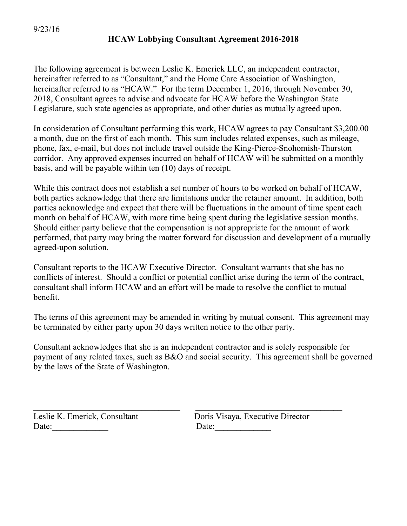#### 9/23/16

#### **HCAW Lobbying Consultant Agreement 2016-2018**

The following agreement is between Leslie K. Emerick LLC, an independent contractor, hereinafter referred to as "Consultant," and the Home Care Association of Washington, hereinafter referred to as "HCAW." For the term December 1, 2016, through November 30, 2018, Consultant agrees to advise and advocate for HCAW before the Washington State Legislature, such state agencies as appropriate, and other duties as mutually agreed upon.

In consideration of Consultant performing this work, HCAW agrees to pay Consultant \$3,200.00 a month, due on the first of each month. This sum includes related expenses, such as mileage, phone, fax, e-mail, but does not include travel outside the King-Pierce-Snohomish-Thurston corridor. Any approved expenses incurred on behalf of HCAW will be submitted on a monthly basis, and will be payable within ten (10) days of receipt.

While this contract does not establish a set number of hours to be worked on behalf of HCAW, both parties acknowledge that there are limitations under the retainer amount. In addition, both parties acknowledge and expect that there will be fluctuations in the amount of time spent each month on behalf of HCAW, with more time being spent during the legislative session months. Should either party believe that the compensation is not appropriate for the amount of work performed, that party may bring the matter forward for discussion and development of a mutually agreed-upon solution.

Consultant reports to the HCAW Executive Director. Consultant warrants that she has no conflicts of interest. Should a conflict or potential conflict arise during the term of the contract, consultant shall inform HCAW and an effort will be made to resolve the conflict to mutual benefit.

The terms of this agreement may be amended in writing by mutual consent. This agreement may be terminated by either party upon 30 days written notice to the other party.

Consultant acknowledges that she is an independent contractor and is solely responsible for payment of any related taxes, such as B&O and social security. This agreement shall be governed by the laws of the State of Washington.

 $\_$  , and the contribution of the contribution of  $\mathcal{L}_\mathcal{L}$  , and the contribution of  $\mathcal{L}_\mathcal{L}$ 

Date: Date:

Leslie K. Emerick, Consultant Doris Visaya, Executive Director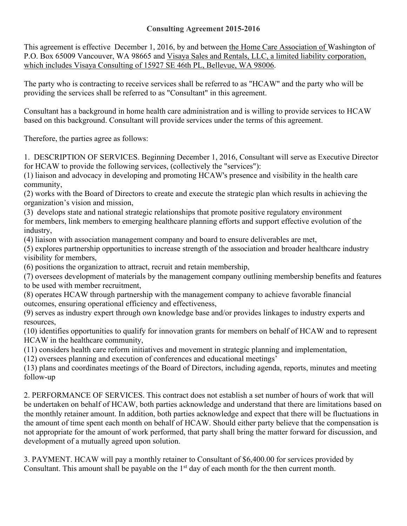#### **Consulting Agreement 2015-2016**

This agreement is effective December 1, 2016, by and between the Home Care Association of Washington of P.O. Box 65009 Vancouver, WA 98665 and Visaya Sales and Rentals, LLC, a limited liability corporation, which includes Visaya Consulting of 15927 SE 46th PL, Bellevue, WA 98006.

The party who is contracting to receive services shall be referred to as "HCAW" and the party who will be providing the services shall be referred to as "Consultant" in this agreement.

Consultant has a background in home health care administration and is willing to provide services to HCAW based on this background. Consultant will provide services under the terms of this agreement.

Therefore, the parties agree as follows:

1. DESCRIPTION OF SERVICES. Beginning December 1, 2016, Consultant will serve as Executive Director for HCAW to provide the following services, (collectively the "services"):

(1) liaison and advocacy in developing and promoting HCAW's presence and visibility in the health care community,

(2) works with the Board of Directors to create and execute the strategic plan which results in achieving the organization's vision and mission,

(3) develops state and national strategic relationships that promote positive regulatory environment for members, link members to emerging healthcare planning efforts and support effective evolution of the industry,

(4) liaison with association management company and board to ensure deliverables are met,

(5) explores partnership opportunities to increase strength of the association and broader healthcare industry visibility for members,

(6) positions the organization to attract, recruit and retain membership,

(7) oversees development of materials by the management company outlining membership benefits and features to be used with member recruitment,

(8) operates HCAW through partnership with the management company to achieve favorable financial outcomes, ensuring operational efficiency and effectiveness,

(9) serves as industry expert through own knowledge base and/or provides linkages to industry experts and resources,

(10) identifies opportunities to qualify for innovation grants for members on behalf of HCAW and to represent HCAW in the healthcare community,

(11) considers health care reform initiatives and movement in strategic planning and implementation,

(12) oversees planning and execution of conferences and educational meetings'

(13) plans and coordinates meetings of the Board of Directors, including agenda, reports, minutes and meeting follow-up

2. PERFORMANCE OF SERVICES. This contract does not establish a set number of hours of work that will be undertaken on behalf of HCAW, both parties acknowledge and understand that there are limitations based on the monthly retainer amount. In addition, both parties acknowledge and expect that there will be fluctuations in the amount of time spent each month on behalf of HCAW. Should either party believe that the compensation is not appropriate for the amount of work performed, that party shall bring the matter forward for discussion, and development of a mutually agreed upon solution.

3. PAYMENT. HCAW will pay a monthly retainer to Consultant of \$6,400.00 for services provided by Consultant. This amount shall be payable on the  $1<sup>st</sup>$  day of each month for the then current month.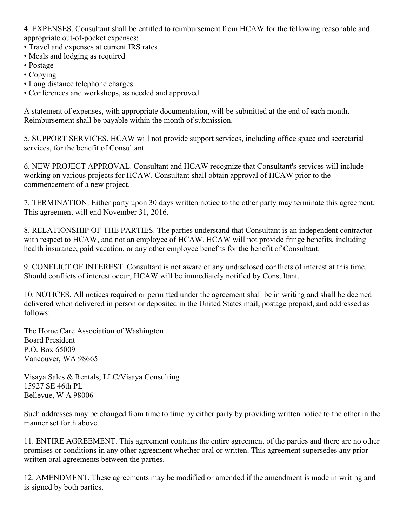4. EXPENSES. Consultant shall be entitled to reimbursement from HCAW for the following reasonable and appropriate out-of-pocket expenses:

- Travel and expenses at current IRS rates
- Meals and lodging as required
- Postage
- Copying
- Long distance telephone charges
- Conferences and workshops, as needed and approved

A statement of expenses, with appropriate documentation, will be submitted at the end of each month. Reimbursement shall be payable within the month of submission.

5. SUPPORT SERVICES. HCAW will not provide support services, including office space and secretarial services, for the benefit of Consultant.

6. NEW PROJECT APPROVAL. Consultant and HCAW recognize that Consultant's services will include working on various projects for HCAW. Consultant shall obtain approval of HCAW prior to the commencement of a new project.

7. TERMINATION. Either party upon 30 days written notice to the other party may terminate this agreement. This agreement will end November 31, 2016.

8. RELATIONSHIP OF THE PARTIES. The parties understand that Consultant is an independent contractor with respect to HCAW, and not an employee of HCAW. HCAW will not provide fringe benefits, including health insurance, paid vacation, or any other employee benefits for the benefit of Consultant.

9. CONFLICT OF INTEREST. Consultant is not aware of any undisclosed conflicts of interest at this time. Should conflicts of interest occur, HCAW will be immediately notified by Consultant.

10. NOTICES. All notices required or permitted under the agreement shall be in writing and shall be deemed delivered when delivered in person or deposited in the United States mail, postage prepaid, and addressed as follows:

The Home Care Association of Washington Board President P.O. Box 65009 Vancouver, WA 98665

Visaya Sales & Rentals, LLC/Visaya Consulting 15927 SE 46th PL Bellevue, W A 98006

Such addresses may be changed from time to time by either party by providing written notice to the other in the manner set forth above.

11. ENTIRE AGREEMENT. This agreement contains the entire agreement of the parties and there are no other promises or conditions in any other agreement whether oral or written. This agreement supersedes any prior written oral agreements between the parties.

12. AMENDMENT. These agreements may be modified or amended if the amendment is made in writing and is signed by both parties.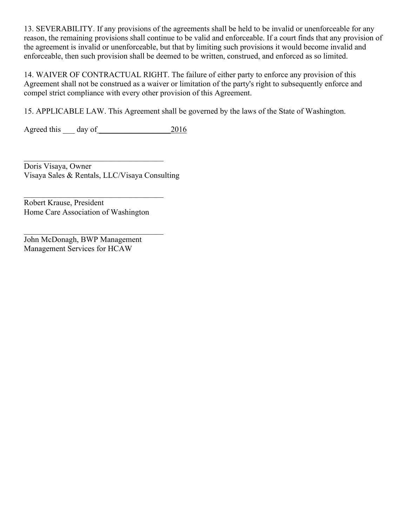13. SEVERABILITY. If any provisions of the agreements shall be held to be invalid or unenforceable for any reason, the remaining provisions shall continue to be valid and enforceable. If a court finds that any provision of the agreement is invalid or unenforceable, but that by limiting such provisions it would become invalid and enforceable, then such provision shall be deemed to be written, construed, and enforced as so limited.

14. WAIVER OF CONTRACTUAL RIGHT. The failure of either party to enforce any provision of this Agreement shall not be construed as a waiver or limitation of the party's right to subsequently enforce and compel strict compliance with every other provision of this Agreement.

15. APPLICABLE LAW. This Agreement shall be governed by the laws of the State of Washington.

Agreed this day of 2016

 $\mathcal{L}_\mathcal{L}$  , where  $\mathcal{L}_\mathcal{L}$  , we have the set of the set of the set of the set of the set of the set of the set of the set of the set of the set of the set of the set of the set of the set of the set of the set Doris Visaya, Owner Visaya Sales & Rentals, LLC/Visaya Consulting

Robert Krause, President Home Care Association of Washington

 $\mathcal{L}_\mathcal{L}$  , where  $\mathcal{L}_\mathcal{L}$  , we have the set of the set of the set of the set of the set of the set of the set of the set of the set of the set of the set of the set of the set of the set of the set of the set

John McDonagh, BWP Management Management Services for HCAW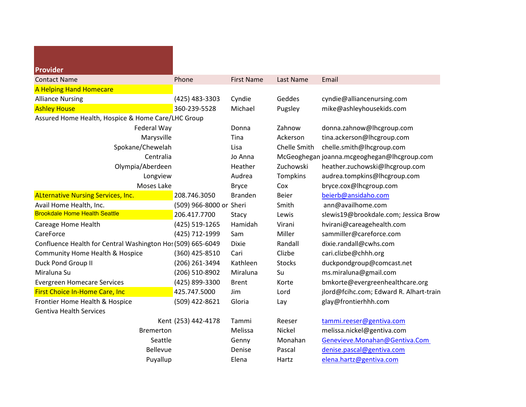| <b>Provider</b>                                             |                         |                   |                 |                                             |
|-------------------------------------------------------------|-------------------------|-------------------|-----------------|---------------------------------------------|
| <b>Contact Name</b>                                         | Phone                   | <b>First Name</b> | Last Name       | Email                                       |
| A Helping Hand Homecare                                     |                         |                   |                 |                                             |
| <b>Alliance Nursing</b>                                     | (425) 483-3303          | Cyndie            | Geddes          | cyndie@alliancenursing.com                  |
| <b>Ashley House</b>                                         | 360-239-5528            | Michael           | Pugsley         | mike@ashleyhousekids.com                    |
| Assured Home Health, Hospice & Home Care/LHC Group          |                         |                   |                 |                                             |
| Federal Way                                                 |                         | Donna             | Zahnow          | donna.zahnow@lhcgroup.com                   |
| Marysville                                                  |                         | Tina              | Ackerson        | tina.ackerson@lhcgroup.com                  |
| Spokane/Chewelah                                            |                         | Lisa              | Chelle Smith    | chelle.smith@lhcgroup.com                   |
| Centralia                                                   |                         | Jo Anna           |                 | McGeoghegan joanna.mcgeoghegan@lhcgroup.com |
| Olympia/Aberdeen                                            |                         | Heather           | Zuchowski       | heather.zuchowski@lhcgroup.com              |
| Longview                                                    |                         | Audrea            | <b>Tompkins</b> | audrea.tompkins@lhcgroup.com                |
| Moses Lake                                                  |                         | <b>Bryce</b>      | Cox             | bryce.cox@lhcgroup.com                      |
| <b>ALternative Nursing Services, Inc.</b>                   | 208.746.3050            | <b>Branden</b>    | <b>Beier</b>    | beierb@ansidaho.com                         |
| Avail Home Health, Inc.                                     | (509) 966-8000 or Sheri |                   | Smith           | ann@availhome.com                           |
| <b>Brookdale Home Health Seattle</b>                        | 206.417.7700            | Stacy             | Lewis           | slewis19@brookdale.com; Jessica Brow        |
| Careage Home Health                                         | (425) 519-1265          | Hamidah           | Virani          | hvirani@careagehealth.com                   |
| CareForce                                                   | (425) 712-1999          | Sam               | Miller          | sammiller@careforce.com                     |
| Confluence Health for Central Washington Hos (509) 665-6049 |                         | <b>Dixie</b>      | Randall         | dixie.randall@cwhs.com                      |
| Community Home Health & Hospice                             | (360) 425-8510          | Cari              | Clizbe          | cari.clizbe@chhh.org                        |
| Duck Pond Group II                                          | (206) 261-3494          | Kathleen          | <b>Stocks</b>   | duckpondgroup@comcast.net                   |
| Miraluna Su                                                 | (206) 510-8902          | Miraluna          | Su              | ms.miraluna@gmail.com                       |
| <b>Evergreen Homecare Services</b>                          | (425) 899-3300          | <b>Brent</b>      | Korte           | bmkorte@evergreenhealthcare.org             |
| First Choice In-Home Care, Inc                              | 425.747.5000            | Jim               | Lord            | jlord@fcihc.com; Edward R. Alhart-train     |
| Frontier Home Health & Hospice                              | (509) 422-8621          | Gloria            | Lay             | glay@frontierhhh.com                        |
| <b>Gentiva Health Services</b>                              |                         |                   |                 |                                             |
|                                                             | Kent (253) 442-4178     | Tammi             | Reeser          | tammi.reeser@gentiva.com                    |
| <b>Bremerton</b>                                            |                         | Melissa           | Nickel          | melissa.nickel@gentiva.com                  |
| Seattle                                                     |                         | Genny             | Monahan         | Genevieve.Monahan@Gentiva.Com               |
| <b>Bellevue</b>                                             |                         | Denise            | Pascal          | denise.pascal@gentiva.com                   |
| Puyallup                                                    |                         | Elena             | Hartz           | elena.hartz@gentiva.com                     |
|                                                             |                         |                   |                 |                                             |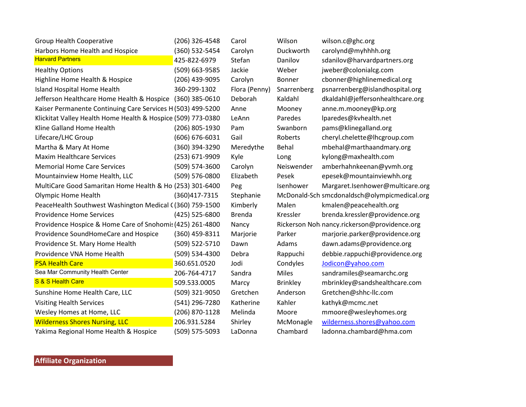| <b>Group Health Cooperative</b>                              | (206) 326-4548 | Carol         | Wilson       | wilson.c@ghc.org                             |
|--------------------------------------------------------------|----------------|---------------|--------------|----------------------------------------------|
| Harbors Home Health and Hospice                              | (360) 532-5454 | Carolyn       | Duckworth    | carolynd@myhhhh.org                          |
| <b>Harvard Partners</b>                                      | 425-822-6979   | Stefan        | Danilov      | sdanilov@harvardpartners.org                 |
| <b>Healthy Options</b>                                       | (509) 663-9585 | Jackie        | Weber        | jweber@colonialcg.com                        |
| Highline Home Health & Hospice                               | (206) 439-9095 | Carolyn       | Bonner       | cbonner@highlinemedical.org                  |
| Island Hospital Home Health                                  | 360-299-1302   | Flora (Penny) | Snarrenberg  | psnarrenberg@islandhospital.org              |
| Jefferson Healthcare Home Health & Hospice (360) 385-0610    |                | Deborah       | Kaldahl      | dkaldahl@jeffersonhealthcare.org             |
| Kaiser Permanente Continuing Care Services H (503) 499-5200  |                | Anne          | Mooney       | anne.m.mooney@kp.org                         |
| Klickitat Valley Health Home Health & Hospice (509) 773-0380 |                | LeAnn         | Paredes      | lparedes@kvhealth.net                        |
| Kline Galland Home Health                                    | (206) 805-1930 | Pam           | Swanborn     | pams@klinegalland.org                        |
| Lifecare/LHC Group                                           | (606) 676-6031 | Gail          | Roberts      | cheryl.chelette@lhcgroup.com                 |
| Martha & Mary At Home                                        | (360) 394-3290 | Meredythe     | <b>Behal</b> | mbehal@marthaandmary.org                     |
| <b>Maxim Healthcare Services</b>                             | (253) 671-9909 | Kyle          | Long         | kylong@maxhealth.com                         |
| <b>Memorial Home Care Services</b>                           | (509) 574-3600 | Carolyn       | Neiswender   | amberhahnkeenan@yvmh.org                     |
| Mountainview Home Health, LLC                                | (509) 576-0800 | Elizabeth     | Pesek        | epesek@mountainviewhh.org                    |
| MultiCare Good Samaritan Home Health & Ho (253) 301-6400     |                | Peg           | Isenhower    | Margaret.Isenhower@multicare.org             |
| <b>Olympic Home Health</b>                                   | (360) 417-7315 | Stephanie     |              | McDonald-Sch smcdonaldsch@olympicmedical.org |
| PeaceHealth Southwest Washington Medical ((360) 759-1500     |                | Kimberly      | Malen        | kmalen@peacehealth.org                       |
| <b>Providence Home Services</b>                              | (425) 525-6800 | <b>Brenda</b> | Kressler     | brenda.kressler@providence.org               |
| Providence Hospice & Home Care of Snohomis (425) 261-4800    |                | Nancy         |              | Rickerson Noh nancy.rickerson@providence.org |
| Providence SoundHomeCare and Hospice                         | (360) 459-8311 | Marjorie      | Parker       | marjorie.parker@providence.org               |
| Providence St. Mary Home Health                              | (509) 522-5710 | Dawn          | Adams        | dawn.adams@providence.org                    |
| Providence VNA Home Health                                   | (509) 534-4300 | Debra         | Rappuchi     | debbie.rappuchi@providence.org               |
| <b>PSA Health Care</b>                                       | 360.651.0520   | Jodi          | Condyles     | Jodicon@yahoo.com                            |
| Sea Mar Community Health Center                              | 206-764-4717   | Sandra        | <b>Miles</b> | sandramiles@seamarchc.org                    |
| S & S Health Care                                            | 509.533.0005   | Marcy         | Brinkley     | mbrinkley@sandshealthcare.com                |
| Sunshine Home Health Care, LLC                               | (509) 321-9050 | Gretchen      | Anderson     | Gretchen@shhc-llc.com                        |
| <b>Visiting Health Services</b>                              | (541) 296-7280 | Katherine     | Kahler       | kathyk@mcmc.net                              |
| Wesley Homes at Home, LLC                                    | (206) 870-1128 | Melinda       | Moore        | mmoore@wesleyhomes.org                       |
| <b>Wilderness Shores Nursing, LLC</b>                        | 206.931.5284   | Shirley       | McMonagle    | wilderness.shores@yahoo.com                  |
| Yakima Regional Home Health & Hospice                        | (509) 575-5093 | LaDonna       | Chambard     | ladonna.chambard@hma.com                     |

**Affiliate Organization**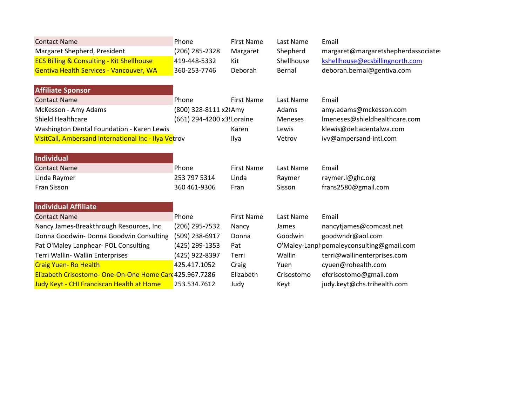| <b>Contact Name</b>                                    | Phone                      | <b>First Name</b> | Last Name      | Email                                     |
|--------------------------------------------------------|----------------------------|-------------------|----------------|-------------------------------------------|
| Margaret Shepherd, President                           | (206) 285-2328             | Margaret          | Shepherd       | margaret@margaretshepherdassociates       |
| <b>ECS Billing &amp; Consulting - Kit Shellhouse</b>   | 419-448-5332               | Kit               | Shellhouse     | kshellhouse@ecsbillingnorth.com           |
| Gentiva Health Services - Vancouver, WA                | 360-253-7746               | Deborah           | Bernal         | deborah.bernal@gentiva.com                |
| <b>Affiliate Sponsor</b>                               |                            |                   |                |                                           |
| <b>Contact Name</b>                                    | Phone                      | <b>First Name</b> | Last Name      | Email                                     |
| McKesson - Amy Adams                                   | (800) 328-8111 x2I Amy     |                   | Adams          | amy.adams@mckesson.com                    |
| <b>Shield Healthcare</b>                               | (661) 294-4200 x3! Loraine |                   | <b>Meneses</b> | Imeneses@shieldhealthcare.com             |
| Washington Dental Foundation - Karen Lewis             |                            | Karen             | Lewis          | klewis@deltadentalwa.com                  |
| VisitCall, Ambersand International Inc - Ilya Vetrov   |                            | Ilya              | Vetrov         | ivv@ampersand-intl.com                    |
| Individual                                             |                            |                   |                |                                           |
| <b>Contact Name</b>                                    | Phone                      | <b>First Name</b> | Last Name      | Email                                     |
| Linda Raymer                                           | 253 797 5314               | Linda             | Raymer         | raymer.l@ghc.org                          |
| Fran Sisson                                            | 360 461-9306               | Fran              | Sisson         | frans2580@gmail.com                       |
| <b>Individual Affiliate</b>                            |                            |                   |                |                                           |
| <b>Contact Name</b>                                    | Phone                      | <b>First Name</b> | Last Name      | Email                                     |
| Nancy James-Breakthrough Resources, Inc                | (206) 295-7532             | Nancy             | James          | nancytjames@comcast.net                   |
| Donna Goodwin- Donna Goodwin Consulting                | (509) 238-6917             | Donna             | Goodwin        | goodwndr@aol.com                          |
| Pat O'Maley Lanphear- POL Consulting                   | (425) 299-1353             | Pat               |                | O'Maley-Lanpl pomaleyconsulting@gmail.com |
| Terri Wallin- Wallin Enterprises                       | (425) 922-8397             | Terri             | Wallin         | terri@wallinenterprises.com               |
| <b>Craig Yuen- Ro Health</b>                           | 425.417.1052               | Craig             | Yuen           | cyuen@rohealth.com                        |
| Elizabeth Crisostomo-One-On-One Home Care 425.967.7286 |                            | Elizabeth         | Crisostomo     | efcrisostomo@gmail.com                    |
| Judy Keyt - CHI Franciscan Health at Home              | 253.534.7612               | Judy              | Keyt           | judy.keyt@chs.trihealth.com               |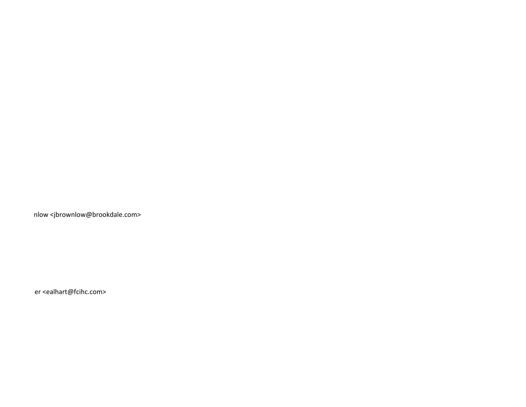nlow <jbrownlow@brookdale.com>

er <ealhart@fcihc.com>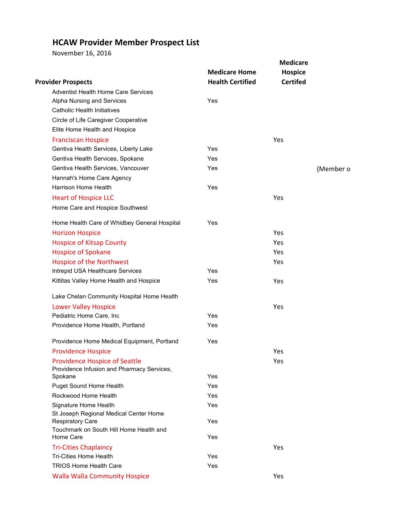### **HCAW Provider Member Prospect List**

November 16, 2016

|                                                                 |                         | <b>Medicare</b> |           |
|-----------------------------------------------------------------|-------------------------|-----------------|-----------|
|                                                                 | <b>Medicare Home</b>    | <b>Hospice</b>  |           |
| <b>Provider Prospects</b>                                       | <b>Health Certified</b> | <b>Certifed</b> |           |
| <b>Adventist Health Home Care Services</b>                      |                         |                 |           |
| Alpha Nursing and Services                                      | Yes                     |                 |           |
| <b>Catholic Health Initiatives</b>                              |                         |                 |           |
| Circle of Life Caregiver Cooperative                            |                         |                 |           |
| Elite Home Health and Hospice                                   |                         |                 |           |
| <b>Franciscan Hospice</b>                                       |                         | Yes             |           |
| Gentiva Health Services, Liberty Lake                           | Yes                     |                 |           |
| Gentiva Health Services, Spokane                                | Yes                     |                 |           |
| Gentiva Health Services, Vancouver                              | Yes                     |                 | (Member o |
| Hannah's Home Care Agency                                       |                         |                 |           |
| Harrison Home Health                                            | Yes                     |                 |           |
| <b>Heart of Hospice LLC</b>                                     |                         | Yes             |           |
| Home Care and Hospice Southwest                                 |                         |                 |           |
| Home Health Care of Whidbey General Hospital                    | Yes                     |                 |           |
| <b>Horizon Hospice</b>                                          |                         | Yes             |           |
| <b>Hospice of Kitsap County</b>                                 |                         | <b>Yes</b>      |           |
| <b>Hospice of Spokane</b>                                       |                         | Yes             |           |
| Hospice of the Northwest                                        |                         | Yes             |           |
| Intrepid USA Healthcare Services                                | Yes                     |                 |           |
| Kittitas Valley Home Health and Hospice                         | Yes                     | Yes             |           |
| Lake Chelan Community Hospital Home Health                      |                         |                 |           |
| <b>Lower Valley Hospice</b>                                     |                         | Yes             |           |
| Pediatric Home Care, Inc                                        | Yes                     |                 |           |
| Providence Home Health, Portland                                | Yes                     |                 |           |
| Providence Home Medical Equipment, Portland                     | Yes                     |                 |           |
| <b>Providence Hospice</b>                                       |                         | Yes             |           |
| <b>Providence Hospice of Seattle</b>                            |                         | Yes             |           |
| Providence Infusion and Pharmacy Services,                      | Yes                     |                 |           |
| Spokane                                                         | Yes                     |                 |           |
| Puget Sound Home Health<br>Rockwood Home Health                 | Yes                     |                 |           |
|                                                                 | Yes                     |                 |           |
| Signature Home Health<br>St Joseph Regional Medical Center Home |                         |                 |           |
| <b>Respiratory Care</b>                                         | Yes                     |                 |           |
| Touchmark on South Hill Home Health and                         |                         |                 |           |
| Home Care                                                       | Yes                     |                 |           |
| <b>Tri-Cities Chaplaincy</b>                                    |                         | Yes             |           |
| <b>Tri-Cities Home Health</b>                                   | Yes                     |                 |           |
| <b>TRIOS Home Health Care</b>                                   | Yes                     |                 |           |
| <b>Walla Walla Community Hospice</b>                            |                         | Yes             |           |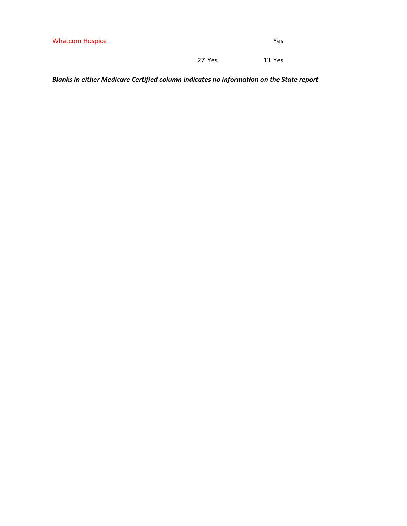| <b>Whatcom Hospice</b> | Yes |
|------------------------|-----|
|------------------------|-----|

27 Yes 13 Yes

*Blanks in either Medicare Certified column indicates no information on the State report*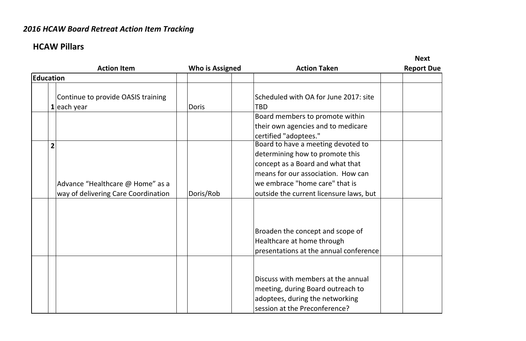# *2016 HCAW Board Retreat Action Item Tracking*

# **HCAW Pillars**

# **Next**

|           | <b>Action Item</b>                                                           | Who is Assigned | <b>Action Taken</b>                                                                                                                                                                                                          | <b>Report Due</b> |
|-----------|------------------------------------------------------------------------------|-----------------|------------------------------------------------------------------------------------------------------------------------------------------------------------------------------------------------------------------------------|-------------------|
| Education |                                                                              |                 |                                                                                                                                                                                                                              |                   |
|           | Continue to provide OASIS training<br>$1$ each year                          | <b>Doris</b>    | Scheduled with OA for June 2017: site<br>TBD                                                                                                                                                                                 |                   |
|           |                                                                              |                 | Board members to promote within<br>their own agencies and to medicare<br>certified "adoptees."                                                                                                                               |                   |
|           | 2<br>Advance "Healthcare @ Home" as a<br>way of delivering Care Coordination | Doris/Rob       | Board to have a meeting devoted to<br>determining how to promote this<br>concept as a Board and what that<br>means for our association. How can<br>we embrace "home care" that is<br>outside the current licensure laws, but |                   |
|           |                                                                              |                 | Broaden the concept and scope of<br>Healthcare at home through<br>presentations at the annual conference                                                                                                                     |                   |
|           |                                                                              |                 | Discuss with members at the annual<br>meeting, during Board outreach to<br>adoptees, during the networking<br>session at the Preconference?                                                                                  |                   |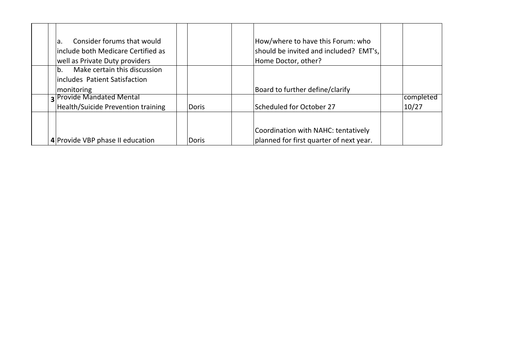| Consider forums that would<br>la.<br>linclude both Medicare Certified as<br>well as Private Duty providers |       | How/where to have this Forum: who<br>should be invited and included? EMT's,<br>Home Doctor, other? |           |
|------------------------------------------------------------------------------------------------------------|-------|----------------------------------------------------------------------------------------------------|-----------|
| Make certain this discussion<br>b <sub>1</sub><br>includes Patient Satisfaction                            |       |                                                                                                    |           |
| monitoring                                                                                                 |       | Board to further define/clarify                                                                    |           |
| <b>3 Provide Mandated Mental</b>                                                                           |       |                                                                                                    | completed |
| <b>Health/Suicide Prevention training</b>                                                                  | Doris | Scheduled for October 27                                                                           | 10/27     |
|                                                                                                            |       | Coordination with NAHC: tentatively                                                                |           |
| 4 Provide VBP phase II education                                                                           | Doris | planned for first quarter of next year.                                                            |           |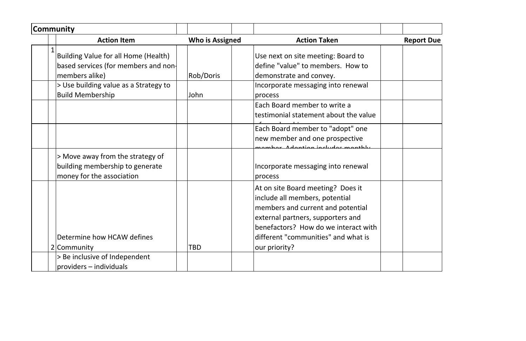| Community |                                                                                                  |                        |                                                                                                                                                                                                                                               |                   |
|-----------|--------------------------------------------------------------------------------------------------|------------------------|-----------------------------------------------------------------------------------------------------------------------------------------------------------------------------------------------------------------------------------------------|-------------------|
|           | <b>Action Item</b>                                                                               | <b>Who is Assigned</b> | <b>Action Taken</b>                                                                                                                                                                                                                           | <b>Report Due</b> |
|           | Building Value for all Home (Health)<br>based services (for members and non-<br>members alike)   | Rob/Doris              | Use next on site meeting: Board to<br>define "value" to members. How to<br>demonstrate and convey.                                                                                                                                            |                   |
|           | > Use building value as a Strategy to<br><b>Build Membership</b>                                 | John                   | Incorporate messaging into renewal<br>process                                                                                                                                                                                                 |                   |
|           |                                                                                                  |                        | Each Board member to write a<br>testimonial statement about the value                                                                                                                                                                         |                   |
|           |                                                                                                  |                        | Each Board member to "adopt" one<br>new member and one prospective                                                                                                                                                                            |                   |
|           | > Move away from the strategy of<br>building membership to generate<br>money for the association |                        | Incorporate messaging into renewal<br>process                                                                                                                                                                                                 |                   |
|           | Determine how HCAW defines<br>2 Community                                                        | TBD                    | At on site Board meeting? Does it<br>include all members, potential<br>members and current and potential<br>external partners, supporters and<br>benefactors? How do we interact with<br>different "communities" and what is<br>our priority? |                   |
|           | > Be inclusive of Independent<br>providers - individuals                                         |                        |                                                                                                                                                                                                                                               |                   |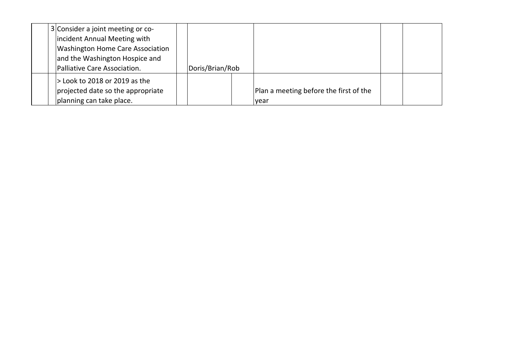| 3 Consider a joint meeting or co-<br>incident Annual Meeting with<br><b>Washington Home Care Association</b><br>and the Washington Hospice and<br>Palliative Care Association. | Doris/Brian/Rob |                                                       |  |
|--------------------------------------------------------------------------------------------------------------------------------------------------------------------------------|-----------------|-------------------------------------------------------|--|
| > Look to 2018 or 2019 as the<br>projected date so the appropriate<br>planning can take place.                                                                                 |                 | Plan a meeting before the first of the<br><b>year</b> |  |